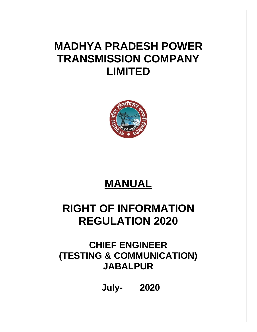# **MADHYA PRADESH POWER TRANSMISSION COMPANY LIMITED**



# **MANUAL**

# **RIGHT OF INFORMATION REGULATION 2020**

## **CHIEF ENGINEER (TESTING & COMMUNICATION) JABALPUR**

**July- 2020**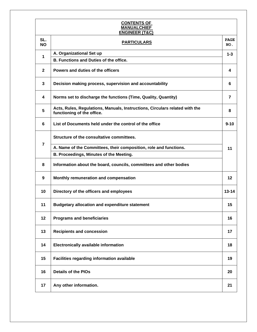#### **CONTENTS OF MANUALCHIEF ENGINEER (T&C)**

| <b>ENGINEER (T&amp;C)</b> |                                                                                                           |                    |  |  |  |  |
|---------------------------|-----------------------------------------------------------------------------------------------------------|--------------------|--|--|--|--|
| SL.<br><b>NO</b>          | <b>PARTICULARS</b>                                                                                        | <b>PAGE</b><br>NO. |  |  |  |  |
| 1                         | A. Organizational Set up                                                                                  |                    |  |  |  |  |
|                           | <b>B. Functions and Duties of the office.</b>                                                             |                    |  |  |  |  |
| $\mathbf{2}$              | Powers and duties of the officers                                                                         | 4                  |  |  |  |  |
| 3                         | Decision making process, supervision and accountability                                                   |                    |  |  |  |  |
| 4                         | Norms set to discharge the functions (Time, Quality, Quantity)                                            | $\overline{7}$     |  |  |  |  |
| 5                         | Acts, Rules, Regulations, Manuals, Instructions, Circulars related with the<br>functioning of the office. |                    |  |  |  |  |
| 6                         | List of Documents held under the control of the office                                                    | $9 - 10$           |  |  |  |  |
|                           | Structure of the consultative committees.                                                                 |                    |  |  |  |  |
| 7                         | A. Name of the Committees, their composition, role and functions.                                         | 11                 |  |  |  |  |
|                           | B. Proceedings, Minutes of the Meeting.                                                                   |                    |  |  |  |  |
| 8                         | Information about the board, councils, committees and other bodies                                        |                    |  |  |  |  |
| 9                         | Monthly remuneration and compensation                                                                     | 12                 |  |  |  |  |
| 10                        | Directory of the officers and employees                                                                   | $13 - 14$          |  |  |  |  |
| 11                        | <b>Budgetary allocation and expenditure statement</b>                                                     | 15                 |  |  |  |  |
| 12                        | <b>Programs and beneficiaries</b>                                                                         | 16                 |  |  |  |  |
| 13                        | <b>Recipients and concession</b>                                                                          | 17                 |  |  |  |  |
| 14                        | <b>Electronically available information</b>                                                               | 18                 |  |  |  |  |
| 15                        | Facilities regarding information available                                                                | 19                 |  |  |  |  |
| 16                        | <b>Details of the PIOs</b>                                                                                | 20                 |  |  |  |  |
| 17                        | Any other information.                                                                                    | 21                 |  |  |  |  |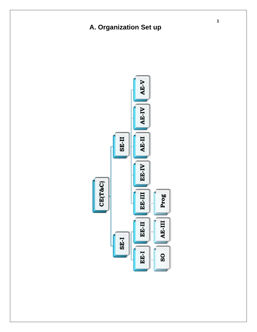## **A. Organization Set up**

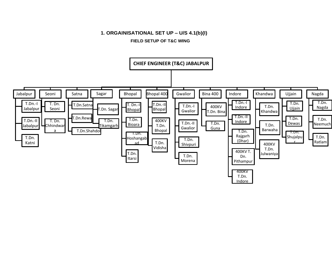#### **1. ORGAINISATIONAL SET UP – U/S 4.1(b)(I)**

#### **FIELD SETUP OF T&C WING**

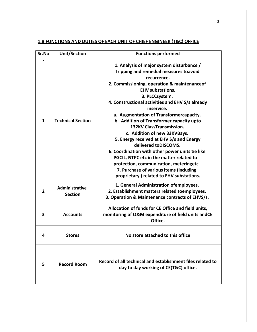### **1.B FUNCTIONS AND DUTIES OF EACH UNIT OF CHIEF ENGINEER (T&C) OFFICE**

| Sr.No          | <b>Unit/Section</b>              | <b>Functions performed</b>                                                                          |
|----------------|----------------------------------|-----------------------------------------------------------------------------------------------------|
|                |                                  | 1. Analysis of major system disturbance /<br>Tripping and remedial measures toavoid<br>recurrence.  |
|                |                                  | 2. Commissioning, operation & maintenanceof<br><b>EHV</b> substations.                              |
|                |                                  | 3. PLCCsystem.                                                                                      |
|                |                                  | 4. Constructional activities and EHV S/s already<br>inservice.                                      |
|                |                                  | a. Augmentation of Transformercapacity.                                                             |
| $\mathbf{1}$   | <b>Technical Section</b>         | b. Addition of Transformer capacity upto                                                            |
|                |                                  | <b>132KV ClassTransmission.</b>                                                                     |
|                |                                  | c. Addition of new 33KVBays.                                                                        |
|                |                                  | 5. Energy received at EHV S/s and Energy                                                            |
|                |                                  | delivered toDISCOMS.                                                                                |
|                |                                  | 6. Coordination with other power units tie like                                                     |
|                |                                  | PGCIL, NTPC etc in the matter related to                                                            |
|                |                                  | protection, communication, meteringetc.                                                             |
|                |                                  | 7. Purchase of various items (including                                                             |
|                |                                  | proprietary ) related to EHV substations.                                                           |
|                |                                  | 1. General Administration ofemployees.                                                              |
| $\overline{2}$ | Administrative<br><b>Section</b> | 2. Establishment matters related toemployees.                                                       |
|                |                                  | 3. Operation & Maintenance contracts of EHVS/s.                                                     |
|                |                                  | Allocation of funds for CE Office and field units,                                                  |
| 3              | <b>Accounts</b>                  | monitoring of O&M expenditure of field units andCE<br>Office.                                       |
| 4              | <b>Stores</b>                    | No store attached to this office                                                                    |
| 5              | <b>Record Room</b>               | Record of all technical and establishment files related to<br>day to day working of CE(T&C) office. |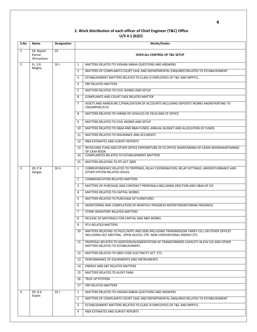#### **2. Work distribution of each officer of Chief Engineer (T&C) Office U/S 4.1 (b)(ii)**

| S.No           | Name                               | Designation | <b>Works/Duties</b>                      |                                                                                                                                                                      |  |  |
|----------------|------------------------------------|-------------|------------------------------------------|----------------------------------------------------------------------------------------------------------------------------------------------------------------------|--|--|
| $\mathbf{1}$   | ER. Rajesh<br>Kumar<br>Shrivastava | <b>CE</b>   | <b>OVER ALL CONTROL OF T&amp;C SETUP</b> |                                                                                                                                                                      |  |  |
| $\overline{2}$ | Er. S.R.                           | $SE-I$      | $\mathbf{1}$                             | MATTERS RELATED TO VIDHAN SABHA QUESTIONS AND ANSWERS                                                                                                                |  |  |
|                | Moghe                              |             | $\overline{2}$                           | MATTERS OF COMPLAINTS COURT CASE AND DEPARTMENTAL ENQUIRIES RELATED TO ESTABILISHMENT                                                                                |  |  |
|                |                                    |             | 3                                        | ESTABLISHMENT MATTERS RELATED TO CLASS III EMPLOYEES OF T&C AND MPPTCL.                                                                                              |  |  |
|                |                                    |             | 4                                        | <b>ERP RELATED MATTERS</b>                                                                                                                                           |  |  |
|                |                                    |             | 5                                        | MATTERS RELATED TO CIVIL WORKS AND SETUP                                                                                                                             |  |  |
|                |                                    |             | 6                                        | COMPLAINTS AND COURT CASE RELATED MATTER                                                                                                                             |  |  |
|                |                                    |             | $\overline{7}$                           | ASSETS AND ANNEXURE C/FINALISATION OF ACCOUNTS INCLUDING DEPOSITE WORKS ANDREPORTING TO<br>CRA/MPERC/CFO                                                             |  |  |
|                |                                    |             | 8                                        | MATTERS RELATED TO HIRING OF VEHICLES OF FIELD AND CE OFFICE                                                                                                         |  |  |
|                |                                    |             | 9                                        | MATTERS RELATED TO CIVIL WORKS AND SETUP                                                                                                                             |  |  |
|                |                                    |             | 10                                       | MATTERS RELATED TO O&M AND R&M FUNDS, ANNUAL BUDGET AND ALLOCATION OF FUNDS                                                                                          |  |  |
|                |                                    |             | 11                                       | MATTERS RELATED TO INSURANCE AND ACCIDENTS                                                                                                                           |  |  |
|                |                                    |             | 12                                       | R&R ESTIMATES AND SURVEY REPORTS                                                                                                                                     |  |  |
|                |                                    |             | 13                                       | REVOLVING FUND AND OTHER OFFICE EXPENDITURE OF CE OFFICE MAINTAINING OF CASHE BOOKMAINTAINING<br>OF CASH BOOK                                                        |  |  |
|                |                                    |             | 14                                       | COMPLAINTES RELATED TO ESTABLISHMENT MATTERS                                                                                                                         |  |  |
|                |                                    |             | 15                                       | MATTERS RELATING TO RTI ACT 2005                                                                                                                                     |  |  |
| 3              | <b>ER. P.K.</b><br>Gargav          | SE-II       | $\mathbf{1}$                             | CORRESPONDENCE RELATED TO TRIPPINGS, RELAY COORDINATION, RELAY SETTINGD, GRIDDISTURBANCE AND<br>OTHER SYSTEM RELATED ISSUES.                                         |  |  |
|                |                                    |             | $\overline{2}$                           | <b>COMMUNICATION RELATED MATTERS</b>                                                                                                                                 |  |  |
|                |                                    |             | 3                                        | MATTERS OF PURCHASE AND CONTRACT PROPOSALS INCLUDING ERECTION AND O&M OF S/S                                                                                         |  |  |
|                |                                    |             | 4                                        | MATTERS RELATED TO CAPITAL WORKS.                                                                                                                                    |  |  |
|                |                                    |             | 5                                        | MATTERS RELATED TO PURCHASE OF FURNITURES                                                                                                                            |  |  |
|                |                                    |             | 6                                        | MONITORING AND COMPILATION OF MONTHLY PROGRESS REPORT/MONITORING PROGRESS                                                                                            |  |  |
|                |                                    |             | $\overline{7}$                           | STORE INVENTORY RELATED MATTERS                                                                                                                                      |  |  |
|                |                                    |             | 8                                        | RELEASE OF MATERIALS FOR CAPITAL AND R&R WORKS                                                                                                                       |  |  |
|                |                                    |             | 9                                        | RTU RELATED MATTERS                                                                                                                                                  |  |  |
|                |                                    |             | 10                                       | MATTERS RELATING TO PGCIL/NTPC AND SEBS INCLUDING TRANSMISSION TARIFF CELL OR OTHER OFFICES<br>INCLUDING OCC MEETING, OPEN ACCESS, CPP, NON CONVENTIONAL ENERGY ETC. |  |  |
|                |                                    |             | 11                                       | PROPOSAL RELATED TO ADDITION/AUGMENTATION OF TRANSFORMERS CAPACITY IN EHV S/S AND OTHER<br>MATTERS RELATED TO ESTABILISHMENT.                                        |  |  |
|                |                                    |             | 12                                       | MATTERS RELATED TO GRID CODE ELECTRICITY ACT. ETC.                                                                                                                   |  |  |
|                |                                    |             | 13                                       | PERFORMANCE OF EQUIPMENTS AND INSTRUMENTS                                                                                                                            |  |  |
|                |                                    |             | 14                                       | <b>ENERGY AND ABT RELATED MATTERS</b>                                                                                                                                |  |  |
|                |                                    |             | 15                                       | MATTERS RELATED TO AUDIT PARA                                                                                                                                        |  |  |
|                |                                    |             | 16                                       | TRUE UP PITITION                                                                                                                                                     |  |  |
|                |                                    |             | 17                                       | ERP RELATED MATTERS                                                                                                                                                  |  |  |
| 4              | <b>ER. R.K.</b>                    | EE-I        | $\mathbf{1}$                             | MATTERS RELATED TO VIDHAN SABHA QUESTIONS AND ANSWERS                                                                                                                |  |  |
|                | Gupta                              |             | $\overline{2}$                           | MATTERS OF COMPLAINTS COURT CASE AND DEPARTMENTAL ENQUIRIES RELATED TO ESTABILISHMENT                                                                                |  |  |
|                |                                    |             | 3                                        | ESTABLISHMENT MATTERS RELATED TO CLASS III EMPLOYEES OF T&C AND MPPTCL.                                                                                              |  |  |
|                |                                    |             | 4                                        | R&R ESTIMATES AND SURVEY REPORTS                                                                                                                                     |  |  |
|                |                                    |             |                                          |                                                                                                                                                                      |  |  |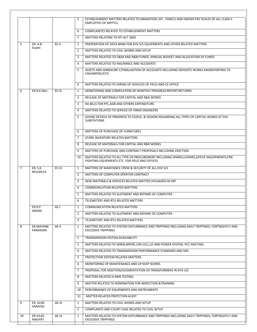|                |                       |        | 5              | ESTABLISHMENT MATTERS RELATED TO GRADATION LIST, PANELS AND HIGHER PAY SCALES OF ALL CLASS II                                                    |
|----------------|-----------------------|--------|----------------|--------------------------------------------------------------------------------------------------------------------------------------------------|
|                |                       |        |                | <b>EMPLOYYES OF MPPTCL.</b>                                                                                                                      |
|                |                       |        | 6              | COMPLAINTES RELATED TO ESTABLISHMENT MATTERS                                                                                                     |
|                |                       |        | $\overline{7}$ | MATTERS RELATING TO RTI ACT 2005                                                                                                                 |
| 5              | <b>ER. A.B.</b>       | EE-II  | 1              | PREPERATION OF DATA BANK FOR EHV S/S EQUIPMENTS AND OTHER RELATED MATTERS                                                                        |
|                | Gupta                 |        | $\overline{2}$ | MATTERS RELATED TO CIVIL WORKS AND SETUP                                                                                                         |
|                |                       |        | 3              | MATTERS RELATED TO O&M AND R&M FUNDS. ANNUAL BUDGET AND ALLOCATION OF FUNDS                                                                      |
|                |                       |        | $\overline{4}$ | MATTERS RELATED TO INSURANCE AND ACCIDENTS                                                                                                       |
|                |                       |        | 5              | ASSETS AND ANNEXURE C/FINALISATION OF ACCOUNTS INCLUDING DEPOSITE WORKS ANDREPORTING TO<br>CRA/MPERC/CFO                                         |
|                |                       |        | 6              | MATTERS RELATED TO HIRING OF VEHICLES OF FIELD AND CE OFFICE                                                                                     |
| 6              | ER.R.K.Mor            | EE-III | 1              | MONITORING AND COMPILATION OF MONTHLY PROGRESS REPORT/RETURNS                                                                                    |
|                |                       |        | $\overline{2}$ | RELEASE OF MATERIALS FOR CAPITAL AND R&R WORKS                                                                                                   |
|                |                       |        | 3              | RA BILLS FOR PFC, ADB AND OTHERS EXPENDITURE.                                                                                                    |
|                |                       |        | 4              | MATTERS RELATED TO SERVICE OF FIRMS ENGINEERS                                                                                                    |
|                |                       |        | 5              | GIVING DETAILS OF PROGRESS TO CE(PLG. & DESIGN) REGARDING ALL TYPES OF CAPITAL WORKS AT EHV<br><b>SUBSTATIONS</b>                                |
|                |                       |        | 6              | <b>MATTERS OF PURCHASE OF FURNITURES</b>                                                                                                         |
|                |                       |        | $\overline{7}$ | STORE INVENTORY RELATED MATTERS                                                                                                                  |
|                |                       |        | 8              | RELEASE OF MATERIALS FOR CAPITAL AND R&R WORKS                                                                                                   |
|                |                       |        | 9              | MATTERS OF PURCHASE AND CONTRACT PROPOSALS INCLUDING ERECTION                                                                                    |
|                |                       |        | 10             | MATTERS RELATED TO ALL TYPE OF PROCUREMENT INCLUDING SPARES, LIVERIES, OFFICE WQUIPMENTS, FIRE<br>FIGHTING EQUIPMENTS ETC. FOR FIELD AND OFFICES |
| $\overline{7}$ | ER. S.K.              | EE-IV  | 1              | MATTERS OF MAINTANCE CREW & SECURITY OF ALL EHV S/S                                                                                              |
|                | <b>MULMULE</b>        |        | $\overline{2}$ | MATTERS OF COMPUTER OPERTOR CONTRACT                                                                                                             |
|                |                       |        | 3              | NEW MATERIALS & SERVICES RELATED MATTER UPLOADED IN ERP                                                                                          |
|                |                       |        | 4              | <b>COMMUNICATION RELATED MATTERS</b>                                                                                                             |
|                |                       |        | 5              | MATTERS RELATED TO ALOTMENT AND REPAIRS OF COMPUTER                                                                                              |
|                |                       |        | 6              | TELEMETERY AND RTU RELATED MATTERS                                                                                                               |
|                | ER.R.P                | AE-I   | $\mathbf{1}$   | <b>COMMUNICATION RELATED MATTERS</b>                                                                                                             |
|                | ARORA                 |        | $\overline{2}$ | MATTERS RELATED TO ALOTMENT AND REPAIRS OF COMPUTER                                                                                              |
|                |                       |        | 3              | TELEMETERY AND RTU RELATED MATTERS                                                                                                               |
| 8              | ER.MAYANK<br>PANJWANI | AE-II  | 1              | MATTERS RELATED TO SYSTEM DISTURBANCE AND TRIPPINGS INCLUDING DAILY TRIPPINGS, FORTNIGHTLY AND<br><b>EXCESSIVE TRIPPINGS</b>                     |
|                |                       |        | 2              | TRANSMISSION SYSTEM AVAILABILITY                                                                                                                 |
|                |                       |        | 3              | MATTERS RELATED TO WREB, MPERC, CRA CELL, LD AND POWER SYSTEM. PCC MEETING                                                                       |
|                |                       |        | 4              | MATTERS RELATED TO TRANSMISSION PERFORMANCE STANDARD AND MIS                                                                                     |
|                |                       |        | 5              | PROTECTION SYSTEM RELATED MATTERS                                                                                                                |
|                |                       |        | 6              | MONITORING OF MAINTENANCE AND UP KEEP WORKS                                                                                                      |
|                |                       |        | $\overline{7}$ | PROPOSAL FOR ADDITION/AUGMENTATION OF TRANSFORMERS IN EHV S/S                                                                                    |
|                |                       |        | 8              | MATTERS RELATED X-MER TESTING                                                                                                                    |
|                |                       |        | 9              | MATTER RELATED TO NOMINATION FOR INSPECTION & TRAINING                                                                                           |
|                |                       |        | 10             | PERFORMANCE OF EQUIPMENTS AND INSTRUMENTS                                                                                                        |
|                |                       |        | 11             | MATTER RELATED PROTCTION AUDIT                                                                                                                   |
| 9              | ER. ALOK              | AE-III | 1              | MATTERS RELATED TO CIVIL WORKS AND SETUP                                                                                                         |
|                | SARAOGI               |        | 2              | COMPLAINTS AND COURT CASE RELATED TO CIVIL SETUP                                                                                                 |
| 10             | ER.VILAS<br>NAGHAT    | AE-IV  | 1              | MATTERS RELATED TO SYSTEM DISTURBANCE AND TRIPPINGS INCLUDING DAILY TRIPPINGS, FORTNIGHTLY AND<br><b>EXCESSIVE TRIPPINGS</b>                     |
|                |                       |        |                |                                                                                                                                                  |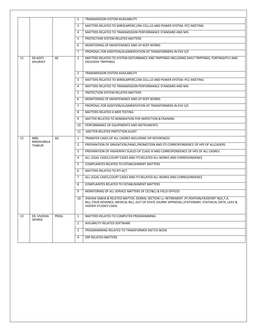|    |                            |       | 2              | TRANSMISSION SYSTEM AVAILABILITY                                                                                                                                                                                             |
|----|----------------------------|-------|----------------|------------------------------------------------------------------------------------------------------------------------------------------------------------------------------------------------------------------------------|
|    |                            |       | 3              | MATTERS RELATED TO WREB, MPERC, CRA CELL, LD AND POWER SYSTEM. PCC MEETING                                                                                                                                                   |
|    |                            |       | 4              | MATTERS RELATED TO TRANSMISSION PERFORMANCE STANDARD AND MIS                                                                                                                                                                 |
|    |                            |       | 5              | PROTECTION SYSTEM RELATED MATTERS                                                                                                                                                                                            |
|    |                            |       | 6              | MONITORING OF MAINTENANCE AND UP KEEP WORKS                                                                                                                                                                                  |
|    |                            |       | 7              | PROPOSAL FOR ADDITION/AUGMENTATION OF TRANSFORMERS IN EHV S/S                                                                                                                                                                |
| 11 | ER.ADITI<br><b>DHURVEY</b> | AE    | $\mathbf{1}$   | MATTERS RELATED TO SYSTEM DISTURBANCE AND TRIPPINGS INCLUDING DAILY TRIPPINGS, FORTNIGHTLY AND<br><b>EXCESSIVE TRIPPINGS</b>                                                                                                 |
|    |                            |       | 2              | TRANSMISSION SYSTEM AVAILABILITY                                                                                                                                                                                             |
|    |                            |       | 3              | MATTERS RELATED TO WREB, MPERC, CRA CELL, LD AND POWER SYSTEM. PCC MEETING                                                                                                                                                   |
|    |                            |       | 4              | MATTERS RELATED TO TRANSMISSION PERFORMANCE STANDARD AND MIS                                                                                                                                                                 |
|    |                            |       | 5              | PROTECTION SYSTEM RELATED MATTERS                                                                                                                                                                                            |
|    |                            |       | 6              | MONITORING OF MAINTENANCE AND UP KEEP WORKS                                                                                                                                                                                  |
|    |                            |       | 7              | PROPOSAL FOR ADDITION/AUGMENTATION OF TRANSFORMERS IN EHV S/S                                                                                                                                                                |
|    |                            |       | 8              | MATTERS RELATED X-MER TESTING                                                                                                                                                                                                |
|    |                            |       | 9              | MATTER RELATED TO NOMINATION FOR INSPECTION & TRAINING                                                                                                                                                                       |
|    |                            |       | 10             | PERFORMANCE OF EQUIPMENTS AND INSTRUMENTS                                                                                                                                                                                    |
|    |                            |       | 11             | MATTER RELATED PROTCTION AUDIT                                                                                                                                                                                               |
| 12 | MRS.                       | SO.   | $\mathbf{1}$   | TRANSFER CASES OF ALL CADRES INCLUDING VIP REFERENCES                                                                                                                                                                        |
|    | MADHUBALA<br><b>THAKUR</b> |       | 2              | PREPARATION OF GRADATION, PANEL, PROMOTION AND ITS CORRESPONDENCE OF HPS OF ALLCADERS                                                                                                                                        |
|    |                            |       | 3              | PREPARATION OF HIGHERPAY SCALES OF CLASS III AND CORRESPONDENCE OF HPS OF ALL CADRES                                                                                                                                         |
|    |                            |       | 4              | ALL LEGAL CASES, COURT CASES AND ITS RELATED ALL WORKS AND CORRESOINDENCE                                                                                                                                                    |
|    |                            |       | 5              | COMPLAINTES RELATED TO ESTABLISHMENT MATTERS                                                                                                                                                                                 |
|    |                            |       | 6              | MATTERS RELATED TO RTI ACT.                                                                                                                                                                                                  |
|    |                            |       | 7              | ALL LEGAL CASES, COURT CASES AND ITS RELATED ALL WORKS AND CORRESOINDENCE                                                                                                                                                    |
|    |                            |       | 8              | <b>COMPLAINTES RELATED TO ESTABLISHMENT MATTERS</b>                                                                                                                                                                          |
|    |                            |       | 9              | MONITORING OF ALL SERVICE MATTERS OF CE(T&C) & FIELD OFFICES                                                                                                                                                                 |
|    |                            |       | 10             | VIDHAN SABHA & RELETED MATTER, GENRAL SECTION i.e. RETIREMENT, PF, PENTION, PASSPORT NOC, T.A.<br>BILL,TOUR ADVANCE, MEDICAL BILL, OUT OF STATE JOURNY APPROVAL,STATIONARY, STATISICAL DATA, LEAV &<br>HIGHER STUDIES CSASE. |
| 13 | ER. VIVIDHA                | PROG. | $\mathbf{1}$   | MATTERS RELATED TO COMPUTER PROGRAMMING                                                                                                                                                                                      |
|    | <b>DEHRIA</b>              |       | $\overline{2}$ | AVILABILITY RELATED SOFTWARE                                                                                                                                                                                                 |
|    |                            |       | 3              | PROGRAMMING RELATED TO TRANSFORMER SKETCH BOOK                                                                                                                                                                               |
|    |                            |       | 4              | ERP RELATED MATTERS                                                                                                                                                                                                          |
|    |                            |       |                |                                                                                                                                                                                                                              |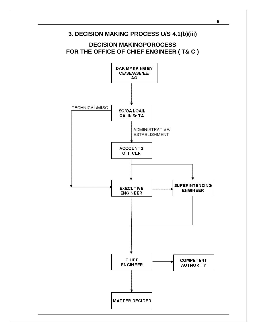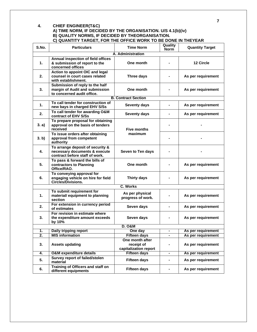#### **4. CHIEF ENGINEER(T&C)**

#### **A) TIME NORM, IF DECIDED BY THE ORGANISATION. U/S 4.1(b)(iv) B) QUALITY NORMS, IF DECIDED BY THEORGANISATION. C) QUANTITY TARGET, FOR THE OFFICE WORK TO BE DONE IN THEYEAR**

| S.No.            | <b>Particulars</b>                                                                                  | <b>Time Norm</b>                                       | Quality<br><b>Norm</b> | <b>Quantity Target</b> |
|------------------|-----------------------------------------------------------------------------------------------------|--------------------------------------------------------|------------------------|------------------------|
|                  |                                                                                                     | A. Administration                                      |                        |                        |
| 1.               | Annual inspection of field offices<br>& submission of report to the<br>concerned offices            | One month                                              |                        | 12 Circle              |
| 2.               | Action to appoint OIC and legal<br>counsel in court cases related<br>with establishment.            | Three days                                             |                        | As per requirement     |
| 3.               | Submission of reply to the half<br>margin of Audit and submission<br>to concerned audit office.     | One month                                              |                        | As per requirement     |
|                  |                                                                                                     | <b>B. Contract Section</b>                             |                        |                        |
| $\mathbf{1}$ .   | To call tender for construction of<br>new bays in charged EHV S/Ss                                  | Seventy days                                           | $\blacksquare$         | As per requirement     |
| 2.               | To call tender for awarding O&M<br>contract of EHV S/Ss                                             | Seventy days                                           | $\blacksquare$         | As per requirement     |
| 3. a)            | To prepare proposal for obtaining<br>approval on the basis of tenders<br>received                   | <b>Five months</b>                                     |                        |                        |
| 3. b)            | To issue orders after obtaining<br>approval from competent<br>authority                             | maximum                                                |                        |                        |
| 4.               | To arrange deposit of security &<br>necessary documents & execute<br>contract before staff of work. | Seven to Ten days                                      |                        |                        |
| 5.               | To pass & forward the bills of<br>contractors to Planning<br>Office/RAO.                            | One month                                              |                        | As per requirement     |
| 6.               | To conveying approval for<br>engaging vehicle on hire for field<br>Circles/Divisions.               | <b>Thirty days</b>                                     |                        | As per requirement     |
|                  |                                                                                                     | <b>C. Works</b>                                        |                        |                        |
| 1.               | To submit requirement for<br>material/equipment to planning<br>section                              | As per physical<br>progress of work.                   |                        | As per requirement     |
| 2.               | For extension in currency period<br>of estimates                                                    | Seven days                                             |                        | As per requirement     |
| 3.               | For revision in estimate where<br>the expenditure amount exceeds<br>by 10%                          | Seven days                                             |                        | As per requirement     |
|                  |                                                                                                     | <b>D. O&amp;M</b>                                      |                        |                        |
| 1.               | Daily tripping report                                                                               | One day                                                |                        | As per requirement     |
| $\overline{2}$ . | <b>MIS information</b>                                                                              | <b>Fifteen days</b>                                    |                        | As per requirement     |
| 3.               | <b>Assets updating</b>                                                                              | One month after<br>receipt of<br>capitalization report |                        | As per requirement     |
| 4.               | <b>O&amp;M</b> expenditure details                                                                  | <b>Fifteen days</b>                                    | $\blacksquare$         | As per requirement     |
| 5.               | Survey report of failed/stolen<br>material                                                          | <b>Fifteen days</b>                                    | $\blacksquare$         | As per requirement     |
| 6.               | Training of Officers and staff on<br>different equipments                                           | <b>Fifteen days</b>                                    | $\blacksquare$         | As per requirement     |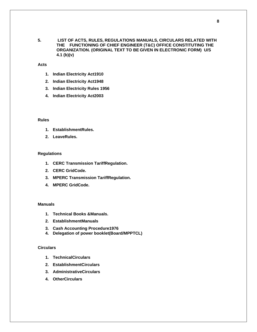- 
- **5. LIST OF ACTS, RULES, REGULATIONS MANUALS, CIRCULARS RELATED WITH THE FUNCTIONING OF CHIEF ENGINEER (T&C) OFFICE CONSTITUTING THE ORGANIZATION. (ORIGINAL TEXT TO BE GIVEN IN ELECTRONIC FORM) U/S 4.1 (b)(v)**

**Acts**

- **1. Indian Electricity Act1910**
- **2. Indian Electricity Act1948**
- **3. Indian Electricity Rules 1956**
- **4. Indian Electricity Act2003**

#### **Rules**

- **1. EstablishmentRules.**
- **2. LeaveRules.**

#### **Regulations**

- **1. CERC Transmission TariffRegulation.**
- **2. CERC GridCode.**
- **3. MPERC Transmission TariffRegulation.**
- **4. MPERC GridCode.**

#### **Manuals**

- **1. Technical Books &Manuals.**
- **2. EstablishmentManuals**
- **3. Cash Accounting Procedure1976**
- **4. Delegation of power booklet(Board/MPPTCL)**

#### **Circulars**

- **1. TechnicalCirculars**
- **2. EstablishmentCirculars**
- **3. AdministrativeCirculars**
- **4. OtherCirculars**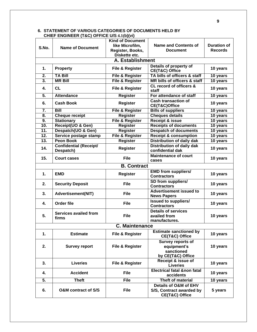|                  | $1.50$ $(1.00)$ $(0.1102$ $0.001$ $(0.00)$ | <b>Kind of Document</b>    |                                                                     |                    |
|------------------|--------------------------------------------|----------------------------|---------------------------------------------------------------------|--------------------|
|                  |                                            | like Microfilm,            | <b>Name and Contents of</b>                                         | <b>Duration of</b> |
| S.No.            | <b>Name of Document</b>                    | Register, Books,           | <b>Document</b>                                                     | <b>Records</b>     |
|                  |                                            | Diskette etc.              |                                                                     |                    |
|                  |                                            | A. Establishment           |                                                                     |                    |
| 1.               | <b>Property</b>                            | File & Register            | Details of property of<br>CE(T&C) Office                            | 10 years           |
| $\overline{2}$ . | <b>TA Bill</b>                             | <b>File &amp; Register</b> | TA bills of officers & staff                                        | 10 years           |
| 3.               | <b>MR Bill</b>                             | <b>File &amp; Register</b> | MR bills of officers & staff                                        | 10 years           |
| 4.               | CL                                         | File & Register            | CL record of officers &<br>staff                                    | 10 years           |
| 5.               | <b>Attendance</b>                          | <b>Register</b>            | For attendance of staff                                             | 10 years           |
| 6.               | <b>Cash Book</b>                           | <b>Register</b>            | <b>Cash transaction of</b><br>CE(T&C)Office                         | 10 years           |
| $\overline{7}$ . | <b>Bill</b>                                | <b>File &amp; Register</b> | <b>Bills of suppliers</b>                                           | 10 years           |
| 8.               | <b>Cheque receipt</b>                      | <b>Register</b>            | <b>Cheques details</b>                                              | 10 years           |
| 9.               | <b>Stationary</b>                          | <b>File &amp; Register</b> | <b>Receipt &amp; issue</b>                                          | 10 years           |
| 10.              | Receipt(UO & Gen)                          | <b>Register</b>            | <b>Receipts of documents</b>                                        | 10 years           |
| 11.              | Despatch(UO & Gen)                         | <b>Register</b>            | <b>Despatch of documents</b>                                        | 10 years           |
| 12.              | Service postage stamp                      | <b>File &amp; Register</b> | <b>Receipt &amp; consumption</b>                                    | 10 years           |
| 13.              | <b>Peon Book</b>                           | <b>Register</b>            | <b>Distribution of daily dak</b>                                    | 10 years           |
| 14.              | <b>Confidential (Receipt/</b><br>Despatch) | Register                   | <b>Distribution of daily dak</b><br>confidential dak                | 10 years           |
| 15.              | <b>Court cases</b>                         | <b>File</b>                | <b>Maintenance of court</b><br>cases                                | 10 years           |
|                  |                                            | <b>B. Contract</b>         |                                                                     |                    |
| 1.               | <b>EMD</b>                                 | <b>Register</b>            | <b>EMD from suppliers/</b><br><b>Contractors</b>                    | 10 years           |
| 2.               | <b>Security Deposit</b>                    | <b>File</b>                | SD from suppliers/<br><b>Contractors</b>                            | 10 years           |
| 3.               | <b>Advertisement(NIT)</b>                  | <b>File</b>                | <b>Advertisement issued to</b><br><b>News Papers</b>                | 10 years           |
| 4.               | Order file                                 | <b>File</b>                | <b>Issued to suppliers/</b><br><b>Contractors</b>                   | 10 years           |
| 5.               | <b>Services availed from</b><br>firms      | <b>File</b>                | <b>Details of services</b><br>availed from<br>manufactures.         | 10 years           |
|                  |                                            | <b>C. Maintenance</b>      |                                                                     |                    |
| 1.               | <b>Estimate</b>                            | File & Register            | <b>Estimate sanctioned by</b><br>CE(T&C) Office                     | 10 years           |
| 2.               | <b>Survey report</b>                       | File & Register            | Survey reports of<br>equipment's<br>sanctioned<br>by CE(T&C) Office | 10 years           |
| 3.               | <b>Liveries</b>                            | File & Register            | Receipt & issue of<br><b>Liveries</b>                               | 10 years           |
| 4.               | <b>Accident</b>                            | <b>File</b>                | <b>Electrical fatal &amp;non fatal</b><br>accidents                 | 10 years           |
| 5.               | <b>Theft</b>                               | <b>File</b>                | <b>Theft of material</b>                                            | 10 years           |
| 6.               | <b>O&amp;M</b> contract of S/S             | <b>File</b>                | Details of O&M of EHV<br>S/S, Contract awarded by<br>CE(T&C) Office | 5 years            |

#### **6. STATEMENT OF VARIOUS CATEGORIES OF DOCUMENTS HELD BY CHIEF ENGINEER (T&C) OFFICE U/S 4.1(b)(vi)**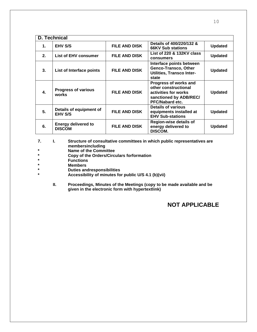|               | D. Technical                                |                      |                                                                                                                    |                |  |  |
|---------------|---------------------------------------------|----------------------|--------------------------------------------------------------------------------------------------------------------|----------------|--|--|
| $\mathbf 1$ . | <b>EHV S/S</b>                              | <b>FILE AND DISK</b> | Details of 400/220/132 &<br><b>66KV Sub stations</b>                                                               | <b>Updated</b> |  |  |
| 2.            | <b>List of EHV consumer</b>                 | <b>FILE AND DISK</b> | List of 220 & 132KV class<br>consumers                                                                             | <b>Updated</b> |  |  |
| 3.            | List of Interface points                    | <b>FILE AND DISK</b> | Interface points between<br>Genco-Transco, Other<br><b>Utilities, Transco Inter-</b><br>state                      | <b>Updated</b> |  |  |
| 4.            | <b>Progress of various</b><br>works         | <b>FILE AND DISK</b> | Progress of works and<br>other constructional<br>activities for works<br>sanctioned by ADB/REC/<br>PFC/Nabard etc. | <b>Updated</b> |  |  |
| 5.            | Details of equipment of<br><b>EHV S/S</b>   | <b>FILE AND DISK</b> | <b>Details of various</b><br>equipments installed at<br><b>EHV Sub-stations</b>                                    | <b>Updated</b> |  |  |
| 6.            | <b>Energy delivered to</b><br><b>DISCOM</b> | <b>FILE AND DISK</b> | <b>Region-wise details of</b><br>energy delivered to<br>DISCOM.                                                    | <b>Updated</b> |  |  |

- **7. I. Structure of consultative committees in which public representatives are membersincluding**
- **\* Name of the Committee**
- **\* Copy of the Orders/Circulars forformation**
- **\* Functions**
- **\* Members**
- **\* Duties andresponsibilities**
- **\* Accessibility of minutes for public U/S 4.1 (b)(vii)**
	- **II. Proceedings, Minutes of the Meetings (copy to be made available and be given in the electronic form with hypertextlink)**

### **NOT APPLICABLE**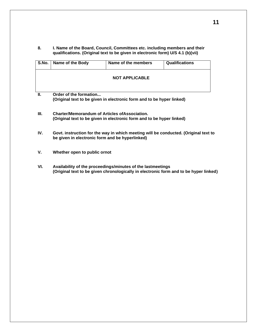**8. I. Name of the Board, Council, Committees etc. including members and their qualifications. (Original text to be given in electronic form) U/S 4.1 (b)(vii)**

| S.No. | Name of the Body       | Name of the members   | <b>Qualifications</b> |
|-------|------------------------|-----------------------|-----------------------|
|       |                        | <b>NOT APPLICABLE</b> |                       |
| Ш.    | Order of the formation |                       |                       |

**(Original text to be given in electronic form and to be hyper linked)**

- **III. Charter/Memorandum of Articles ofAssociation. (Original text to be given in electronic form and to be hyper linked)**
- **IV. Govt. instruction for the way in which meeting will be conducted. (Original text to be given in electronic form and be hyperlinked)**
- **V. Whether open to public ornot**
- **VI. Availability of the proceedings/minutes of the lastmeetings (Original text to be given chronologically in electronic form and to be hyper linked)**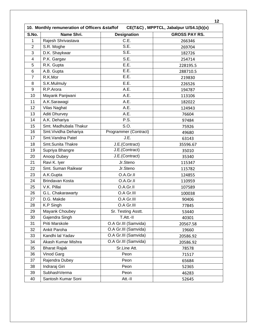| S.No.           | Name Shri.            | <b>Designation</b>    | <b>GROSS PAY RS.</b> |
|-----------------|-----------------------|-----------------------|----------------------|
| 1               | Rajesh Shrivastava    | C.E.                  | 266346               |
| $\overline{2}$  | S.R. Moghe            | SE.                   | 269704               |
| 3               | D.K. Shaykwar         | S.E.                  | 182726               |
| 4               | P.K. Gargav           | S.E.                  | 254714               |
| 5               | R.K. Gupta            | E.E.                  | 228195.5             |
| 6               | A.B. Gupta            | E.E.                  | 288710.5             |
| $\overline{7}$  | R.K.Mor               | E.E.                  | 219830               |
| 8               | S.K.Mulmuly           | E.E.                  | 226526               |
| 9               | R.P.Arora             | A.E.                  | 194787               |
| 10              | Mayank Panjwani       | A.E.                  | 113106               |
| 11              | A.K.Sarawagi          | A.E.                  | 182022               |
| 12              | <b>Vilas Naghat</b>   | A.E.                  | 124943               |
| 13              | <b>Aditi Dhurvey</b>  | A.E.                  | 76604                |
| 14              | A.K. Dehariya         | P.S.                  | 97484                |
| 15              | Smt. Madhubala Thakur | S.O.                  | 75926                |
| 16              | Smt. Vividha Dehariya | Programmer (Contract) | 49680                |
| $\overline{17}$ | Smt. Vandna Patel     | J.E.                  | 63143                |
| 18              | Smt.Sunita Thakre     | J.E.(Contract)        | 35596.67             |
| 19              | Supriya Bhangre       | J.E.(Contract)        | 35010                |
| 20              | Anoop Dubey           | J.E.(Contract)        | 35340                |
| 21              | Ravi K. Iyer          | Jr.Steno              | 115347               |
| 22              | Smt. Suman Raikwar    | Jr.Steno              | 115782               |
| 23              | A.K.Gupta             | O.A.Gr.II             | 124855               |
| 24              | Brindavan Kosta       | O.A.Gr.II             | 110959               |
| 25              | V.K. Pillai           | O.A.Gr.II             | 107589               |
| 26              | G.L. Chakarawarty     | O.A Gr.III            | 100038               |
| 27              | D.G. Makde            | O.A Gr.III            | 90406                |
| 28              | K.P Singh             | O.A Gr.III            | 77845                |
| 29              | Mayank Choubey        | Sr. Testing Asstt.    | 53440                |
| 30              | Gajendra Singh        | T.Att.-II             | 40301                |
| 31              | Priti Marskole        | O.A Gr.III (Samvida)  | 20567.58             |
| 32              | Ankit Paroha          | O.A Gr.III (Samvida)  | 19660                |
| 33              | Kandhi lal Yadav      | O.A Gr.III (Samvida)  | 20586.92             |
| 34              | Akash Kumar Mishra    | O.A Gr.III (Samvida)  | 20586.92             |
| 35              | <b>Bharat Rajak</b>   | Sr.Line Att.          | 78578                |
| 36              | Vinod Garg            | Peon                  | 71517                |
| 37              | Rajendra Dubey        | Peon                  | 65684                |
| 38              | Indraraj Giri         | Peon                  | 52365                |
| 39              | SubhashVerma          | Peon                  | 46283                |
| 40              | Santosh Kumar Soni    | Att.-II               | 52645                |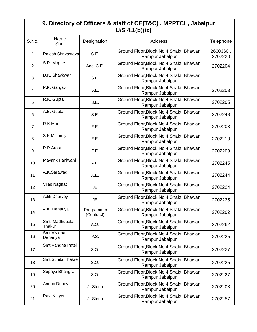### **9. Directory of Officers & staff of CE(T&C) , MPPTCL, Jabalpur U/S 4.1(b)(ix)**

| S.No.          | Name<br>Shri.            | Designation              | Address                                                    |                     |
|----------------|--------------------------|--------------------------|------------------------------------------------------------|---------------------|
| 1              | Rajesh Shrivastava       | C.E.                     | Ground Floor, Block No.4, Shakti Bhawan<br>Rampur Jabalpur | 2660360,<br>2702220 |
| $\overline{2}$ | S.R. Moghe               | Addl.C.E.                | Ground Floor, Block No.4, Shakti Bhawan<br>Rampur Jabalpur | 2702204             |
| 3              | D.K. Shaykwar            | S.E.                     | Ground Floor, Block No.4, Shakti Bhawan<br>Rampur Jabalpur |                     |
| $\overline{4}$ | P.K. Gargav              | S.E.                     | Ground Floor, Block No.4, Shakti Bhawan<br>Rampur Jabalpur | 2702203             |
| 5              | R.K. Gupta               | S.E.                     | Ground Floor, Block No.4, Shakti Bhawan<br>Rampur Jabalpur | 2702205             |
| 6              | A.B. Gupta               | S.E.                     | Ground Floor, Block No.4, Shakti Bhawan<br>Rampur Jabalpur | 2702243             |
| $\overline{7}$ | R.K.Mor                  | E.E.                     | Ground Floor, Block No.4, Shakti Bhawan<br>Rampur Jabalpur | 2702208             |
| 8              | S.K.Mulmuly              | E.E.                     | Ground Floor, Block No.4, Shakti Bhawan<br>Rampur Jabalpur | 2702210             |
| 9              | R.P.Arora                | E.E.                     | Ground Floor, Block No.4, Shakti Bhawan<br>Rampur Jabalpur | 2702209             |
| 10             | Mayank Panjwani          | A.E.                     | Ground Floor, Block No.4, Shakti Bhawan<br>Rampur Jabalpur | 2702245             |
| 11             | A.K.Sarawagi             | A.E.                     | Ground Floor, Block No.4, Shakti Bhawan<br>Rampur Jabalpur | 2702244             |
| 12             | Vilas Naghat             | <b>JE</b>                | Ground Floor, Block No.4, Shakti Bhawan<br>Rampur Jabalpur | 2702224             |
| 13             | Aditi Dhurvey            | <b>JE</b>                | Ground Floor, Block No.4, Shakti Bhawan<br>Rampur Jabalpur | 2702225             |
| 14             | A.K. Dehariya            | Programmer<br>(Contract) | Ground Floor, Block No.4, Shakti Bhawan<br>Rampur Jabalpur | 2702202             |
| 15             | Smt. Madhubala<br>Thakur | A.O.                     | Ground Floor, Block No.4, Shakti Bhawan<br>Rampur Jabalpur | 2702262             |
| 16             | Smt. Vividha<br>Dehariya | P.S.                     | Ground Floor, Block No.4, Shakti Bhawan<br>Rampur Jabalpur | 2702225             |
| 17             | Smt. Vandna Patel        | S.O.                     | Ground Floor, Block No.4, Shakti Bhawan<br>Rampur Jabalpur | 2702227             |
| 18             | Smt.Sunita Thakre        | S.O.                     | Ground Floor, Block No.4, Shakti Bhawan<br>Rampur Jabalpur | 2702225             |
| 19             | Supriya Bhangre          | S.O.                     | Ground Floor, Block No.4, Shakti Bhawan<br>Rampur Jabalpur | 2702227             |
| 20             | Anoop Dubey              | Jr.Steno                 | Ground Floor, Block No.4, Shakti Bhawan<br>Rampur Jabalpur | 2702208             |
| 21             | Ravi K. Iyer             | Jr.Steno                 | Ground Floor, Block No.4, Shakti Bhawan<br>Rampur Jabalpur | 2702257             |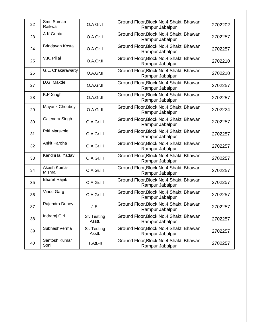| 22 | Smt. Suman<br>Raikwar | O.A Gr. I             | Ground Floor, Block No.4, Shakti Bhawan<br>Rampur Jabalpur | 2702202 |
|----|-----------------------|-----------------------|------------------------------------------------------------|---------|
| 23 | A.K.Gupta             | O.A Gr. I             | Ground Floor, Block No.4, Shakti Bhawan<br>Rampur Jabalpur | 2702257 |
| 24 | Brindavan Kosta       | $O.A$ Gr. $I$         | Ground Floor, Block No.4, Shakti Bhawan<br>Rampur Jabalpur | 2702257 |
| 25 | V.K. Pillai           | O.A.Gr.II             | Ground Floor, Block No.4, Shakti Bhawan<br>Rampur Jabalpur | 2702210 |
| 26 | G.L. Chakarawarty     | O.A.Gr.II             | Ground Floor, Block No.4, Shakti Bhawan<br>Rampur Jabalpur | 2702210 |
| 27 | D.G. Makde            | O.A.Gr.II             | Ground Floor, Block No.4, Shakti Bhawan<br>Rampur Jabalpur | 2702257 |
| 28 | K.P Singh             | O.A.Gr.II             | Ground Floor, Block No.4, Shakti Bhawan<br>Rampur Jabalpur | 2702257 |
| 29 | Mayank Choubey        | O.A.Gr.II             | Ground Floor, Block No.4, Shakti Bhawan<br>Rampur Jabalpur | 2702224 |
| 30 | Gajendra Singh        | O.A Gr.III            | Ground Floor, Block No.4, Shakti Bhawan<br>Rampur Jabalpur | 2702257 |
| 31 | Priti Marskole        | O.A Gr.III            | Ground Floor, Block No.4, Shakti Bhawan<br>Rampur Jabalpur | 2702257 |
| 32 | Ankit Paroha          | O.A Gr.III            | Ground Floor, Block No.4, Shakti Bhawan<br>Rampur Jabalpur | 2702257 |
| 33 | Kandhi lal Yadav      | O.A Gr.III            | Ground Floor, Block No.4, Shakti Bhawan<br>Rampur Jabalpur | 2702257 |
| 34 | Akash Kumar<br>Mishra | O.A Gr.III            | Ground Floor, Block No.4, Shakti Bhawan<br>Rampur Jabalpur | 2702257 |
| 35 | <b>Bharat Rajak</b>   | O.A Gr.III            | Ground Floor, Block No.4, Shakti Bhawan<br>Rampur Jabalpur | 2702257 |
| 36 | Vinod Garg            | O.A Gr.III            | Ground Floor, Block No.4, Shakti Bhawan<br>Rampur Jabalpur | 2702257 |
| 37 | Rajendra Dubey        | J.E.                  | Ground Floor, Block No.4, Shakti Bhawan<br>Rampur Jabalpur | 2702257 |
| 38 | Indraraj Giri         | Sr. Testing<br>Asstt. | Ground Floor, Block No.4, Shakti Bhawan<br>Rampur Jabalpur | 2702257 |
| 39 | SubhashVerma          | Sr. Testing<br>Asstt. | Ground Floor, Block No.4, Shakti Bhawan<br>Rampur Jabalpur | 2702257 |
| 40 | Santosh Kumar<br>Soni | T.Att.-II             | Ground Floor, Block No.4, Shakti Bhawan<br>Rampur Jabalpur | 2702257 |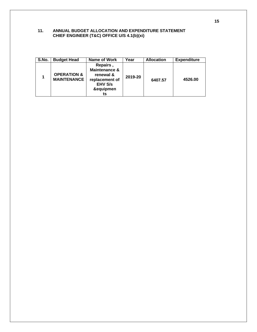#### **11. ANNUAL BUDGET ALLOCATION AND EXPENDITURE STATEMENT CHIEF ENGINEER (T&C) OFFICE U/S 4.1(b)(xi)**

| S.No. | <b>Budget Head</b>                           | Name of Work                                                                                  | Year    | <b>Allocation</b> | <b>Expenditure</b> |
|-------|----------------------------------------------|-----------------------------------------------------------------------------------------------|---------|-------------------|--------------------|
|       | <b>OPERATION &amp;</b><br><b>MAINTENANCE</b> | Repairs,<br>Maintenance &<br>renewal &<br>replacement of<br><b>EHV S/s</b><br>&equipmen<br>ts | 2019-20 | 6407.57           | 4526.00            |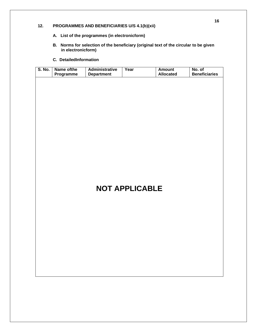#### **12. PROGRAMMES AND BENEFICIARIES U/S 4.1(b)(xii)**

- **A. List of the programmes (in electronicform)**
- **B. Norms for selection of the beneficiary (original text of the circular to be given in electronicform)**
- **C. DetailedInformation**

| <b>S. No.</b> | Name of the<br>Programme | <b>Administrative</b><br><b>Department</b> | Year                  | <b>Amount</b><br><b>Allocated</b> | No. of<br><b>Beneficiaries</b> |
|---------------|--------------------------|--------------------------------------------|-----------------------|-----------------------------------|--------------------------------|
|               |                          |                                            |                       |                                   |                                |
|               |                          |                                            |                       |                                   |                                |
|               |                          |                                            |                       |                                   |                                |
|               |                          |                                            |                       |                                   |                                |
|               |                          |                                            |                       |                                   |                                |
|               |                          |                                            |                       |                                   |                                |
|               |                          |                                            |                       |                                   |                                |
|               |                          |                                            |                       |                                   |                                |
|               |                          |                                            |                       |                                   |                                |
|               |                          |                                            |                       |                                   |                                |
|               |                          |                                            |                       |                                   |                                |
|               |                          |                                            |                       |                                   |                                |
|               |                          |                                            | <b>NOT APPLICABLE</b> |                                   |                                |
|               |                          |                                            |                       |                                   |                                |
|               |                          |                                            |                       |                                   |                                |
|               |                          |                                            |                       |                                   |                                |
|               |                          |                                            |                       |                                   |                                |
|               |                          |                                            |                       |                                   |                                |
|               |                          |                                            |                       |                                   |                                |
|               |                          |                                            |                       |                                   |                                |
|               |                          |                                            |                       |                                   |                                |
|               |                          |                                            |                       |                                   |                                |
|               |                          |                                            |                       |                                   |                                |
|               |                          |                                            |                       |                                   |                                |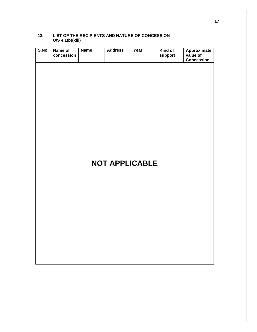#### **13. LIST OF THE RECIPIENTS AND NATURE OF CONCESSION U/S 4.1(b)(xiii)**

| S.No. | Name of<br>concession | <b>Name</b> | <b>Address</b> | Year                  | Kind of<br>support | <b>Approximate</b><br>value of<br><b>Concession</b> |
|-------|-----------------------|-------------|----------------|-----------------------|--------------------|-----------------------------------------------------|
|       |                       |             |                |                       |                    |                                                     |
|       |                       |             |                |                       |                    |                                                     |
|       |                       |             |                |                       |                    |                                                     |
|       |                       |             |                |                       |                    |                                                     |
|       |                       |             |                |                       |                    |                                                     |
|       |                       |             |                |                       |                    |                                                     |
|       |                       |             |                |                       |                    |                                                     |
|       |                       |             |                | <b>NOT APPLICABLE</b> |                    |                                                     |
|       |                       |             |                |                       |                    |                                                     |
|       |                       |             |                |                       |                    |                                                     |
|       |                       |             |                |                       |                    |                                                     |
|       |                       |             |                |                       |                    |                                                     |
|       |                       |             |                |                       |                    |                                                     |
|       |                       |             |                |                       |                    |                                                     |
|       |                       |             |                |                       |                    |                                                     |
|       |                       |             |                |                       |                    |                                                     |
|       |                       |             |                |                       |                    |                                                     |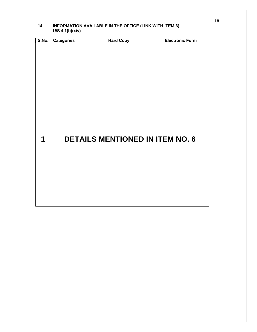| S.No. | <b>Categories</b> | <b>Hard Copy</b>                       | <b>Electronic Form</b> |
|-------|-------------------|----------------------------------------|------------------------|
| 1     |                   | <b>DETAILS MENTIONED IN ITEM NO. 6</b> |                        |

#### **14. INFORMATION AVAILABLE IN THE OFFICE (LINK WITH ITEM 6) U/S 4.1(b)(xiv)**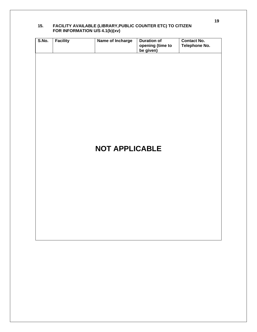| S.No. | <b>Facility</b> | Name of Incharge      | <b>Duration of</b><br>opening (time to<br>be given) | <b>Contact No.</b><br><b>Telephone No.</b> |
|-------|-----------------|-----------------------|-----------------------------------------------------|--------------------------------------------|
|       |                 |                       |                                                     |                                            |
|       |                 |                       |                                                     |                                            |
|       |                 |                       |                                                     |                                            |
|       |                 |                       |                                                     |                                            |
|       |                 |                       |                                                     |                                            |
|       |                 |                       |                                                     |                                            |
|       |                 | <b>NOT APPLICABLE</b> |                                                     |                                            |
|       |                 |                       |                                                     |                                            |
|       |                 |                       |                                                     |                                            |
|       |                 |                       |                                                     |                                            |
|       |                 |                       |                                                     |                                            |
|       |                 |                       |                                                     |                                            |
|       |                 |                       |                                                     |                                            |

#### **15. FACILITY AVAILABLE (LIBRARY,PUBLIC COUNTER ETC) TO CITIZEN FOR INFORMATION U/S 4.1(b)(xv)**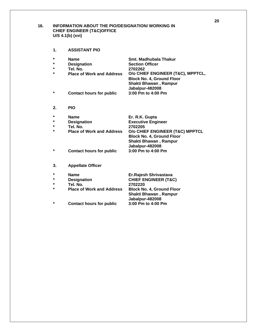#### **16. INFORMATION ABOUT THE PIO/DESIGNATION/ WORKING IN CHIEF ENGINEER (T&C)OFFICE U/S 4.1(b) (xvi)**

**1. ASSISTANT PIO**

| $\star$            | <b>Name</b>                                  | Smt. Madhubala Thakur                                                                                                        |
|--------------------|----------------------------------------------|------------------------------------------------------------------------------------------------------------------------------|
| $\star$            | <b>Designation</b>                           | <b>Section Officer</b>                                                                                                       |
| $\star$<br>$\star$ | Tel. No.<br><b>Place of Work and Address</b> | 2702262<br>O/o CHIEF ENGINEER (T&C), MPPTCL,<br><b>Block No. 4, Ground Floor</b><br>Shakti Bhawan, Rampur<br>Jabalpur-482008 |
| $\star$            | <b>Contact hours for public</b>              | 3:00 Pm to 4:00 Pm                                                                                                           |
| 2.                 | <b>PIO</b>                                   |                                                                                                                              |
| $\star$            | <b>Name</b>                                  | Er. R.K. Gupta                                                                                                               |
| $\star$            | <b>Designation</b>                           | <b>Executive Engineer</b>                                                                                                    |
| ÷                  | Tel. No.                                     | 2702205                                                                                                                      |
| *                  | <b>Place of Work and Address</b>             | O/o CHIEF ENGINEER (T&C) MPPTCL<br><b>Block No. 4, Ground Floor</b><br>Shakti Bhawan, Rampur<br>Jabalpur-482008              |
| *                  | <b>Contact hours for public</b>              | 3:00 Pm to 4:00 Pm                                                                                                           |
| 3.                 | <b>Appellate Officer</b>                     |                                                                                                                              |
| $\star$            | <b>Name</b>                                  | Er.Rajesh Shrivastava                                                                                                        |
| *                  | <b>Designation</b>                           | <b>CHIEF ENGINEER (T&amp;C)</b>                                                                                              |
| $\star$            | Tel. No.                                     | 2702220                                                                                                                      |
| *                  | <b>Place of Work and Address</b>             | <b>Block No. 4, Ground Floor</b><br>Shakti Bhawan, Rampur<br>Jabalpur-482008                                                 |
| $\star$            | <b>Contact hours for public</b>              | 3:00 Pm to 4:00 Pm                                                                                                           |

**20**